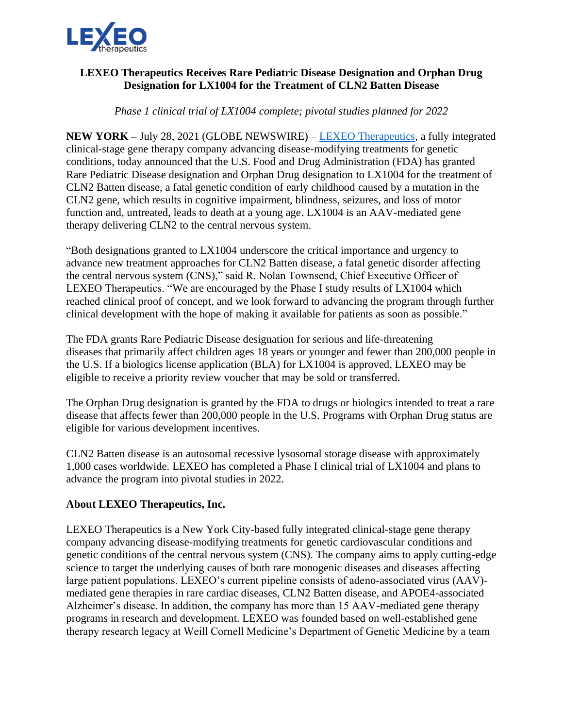

## **LEXEO Therapeutics Receives Rare Pediatric Disease Designation and Orphan Drug Designation for LX1004 for the Treatment of CLN2 Batten Disease**

*Phase 1 clinical trial of LX1004 complete; pivotal studies planned for 2022*

**NEW YORK –** July 28, 2021 (GLOBE NEWSWIRE) – [LEXEO Therapeutics,](https://www.lexeotx.com/) a fully integrated clinical-stage gene therapy company advancing disease-modifying treatments for genetic conditions, today announced that the U.S. Food and Drug Administration (FDA) has granted Rare Pediatric Disease designation and Orphan Drug designation to LX1004 for the treatment of CLN2 Batten disease, a fatal genetic condition of early childhood caused by a mutation in the CLN2 gene, which results in cognitive impairment, blindness, seizures, and loss of motor function and, untreated, leads to death at a young age. LX1004 is an AAV-mediated gene therapy delivering CLN2 to the central nervous system.

"Both designations granted to LX1004 underscore the critical importance and urgency to advance new treatment approaches for CLN2 Batten disease, a fatal genetic disorder affecting the central nervous system (CNS)," said R. Nolan Townsend, Chief Executive Officer of LEXEO Therapeutics. "We are encouraged by the Phase I study results of LX1004 which reached clinical proof of concept, and we look forward to advancing the program through further clinical development with the hope of making it available for patients as soon as possible."

The FDA grants Rare Pediatric Disease designation for serious and life-threatening diseases that primarily affect children ages 18 years or younger and fewer than 200,000 people in the U.S. If a biologics license application (BLA) for LX1004 is approved, LEXEO may be eligible to receive a priority review voucher that may be sold or transferred.

The Orphan Drug designation is granted by the FDA to drugs or biologics intended to treat a rare disease that affects fewer than 200,000 people in the U.S. Programs with Orphan Drug status are eligible for various development incentives.

CLN2 Batten disease is an autosomal recessive lysosomal storage disease with approximately 1,000 cases worldwide. LEXEO has completed a Phase I clinical trial of LX1004 and plans to advance the program into pivotal studies in 2022.

## **About LEXEO Therapeutics, Inc.**

LEXEO Therapeutics is a New York City-based fully integrated clinical-stage gene therapy company advancing disease-modifying treatments for genetic cardiovascular conditions and genetic conditions of the central nervous system (CNS). The company aims to apply cutting-edge science to target the underlying causes of both rare monogenic diseases and diseases affecting large patient populations. LEXEO's current pipeline consists of adeno-associated virus (AAV) mediated gene therapies in rare cardiac diseases, CLN2 Batten disease, and APOE4-associated Alzheimer's disease. In addition, the company has more than 15 AAV-mediated gene therapy programs in research and development. LEXEO was founded based on well-established gene therapy research legacy at Weill Cornell Medicine's Department of Genetic Medicine by a team